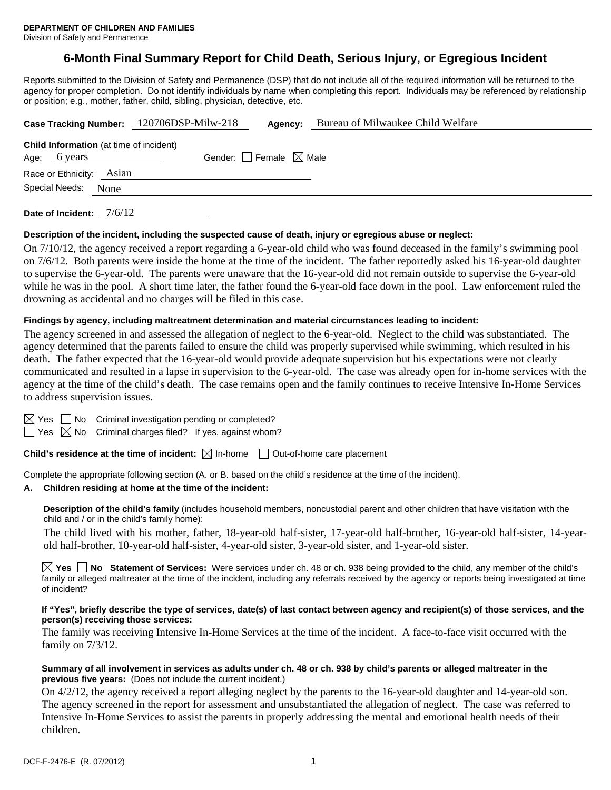# **6-Month Final Summary Report for Child Death, Serious Injury, or Egregious Incident**

Reports submitted to the Division of Safety and Permanence (DSP) that do not include all of the required information will be returned to the agency for proper completion. Do not identify individuals by name when completing this report. Individuals may be referenced by relationship or position; e.g., mother, father, child, sibling, physician, detective, etc.

|                                                | Case Tracking Number: 120706DSP-Milw-218 | Agency: | Bureau of Milwaukee Child Welfare |  |
|------------------------------------------------|------------------------------------------|---------|-----------------------------------|--|
| <b>Child Information</b> (at time of incident) |                                          |         |                                   |  |
| Age: 6 years                                   | Gender: Female $\boxtimes$ Male          |         |                                   |  |
| Race or Ethnicity: Asian                       |                                          |         |                                   |  |
| Special Needs:<br>None                         |                                          |         |                                   |  |
| 7/6/12<br>Date of Incident:                    |                                          |         |                                   |  |

#### **Description of the incident, including the suspected cause of death, injury or egregious abuse or neglect:**

On 7/10/12, the agency received a report regarding a 6-year-old child who was found deceased in the family's swimming pool on 7/6/12. Both parents were inside the home at the time of the incident. The father reportedly asked his 16-year-old daughter to supervise the 6-year-old. The parents were unaware that the 16-year-old did not remain outside to supervise the 6-year-old while he was in the pool. A short time later, the father found the 6-year-old face down in the pool. Law enforcement ruled the drowning as accidental and no charges will be filed in this case.

#### **Findings by agency, including maltreatment determination and material circumstances leading to incident:**

The agency screened in and assessed the allegation of neglect to the 6-year-old. Neglect to the child was substantiated. The agency determined that the parents failed to ensure the child was properly supervised while swimming, which resulted in his death. The father expected that the 16-year-old would provide adequate supervision but his expectations were not clearly communicated and resulted in a lapse in supervision to the 6-year-old. The case was already open for in-home services with the agency at the time of the child's death. The case remains open and the family continues to receive Intensive In-Home Services to address supervision issues.

 $\boxtimes$  Yes  $\Box$  No Criminal investigation pending or completed?

 $\Box$  Yes  $\boxtimes$  No Criminal charges filed? If yes, against whom?

**Child's residence at the time of incident:**  $\boxtimes$  In-home  $\Box$  Out-of-home care placement

Complete the appropriate following section (A. or B. based on the child's residence at the time of the incident).

#### **A. Children residing at home at the time of the incident:**

**Description of the child's family** (includes household members, noncustodial parent and other children that have visitation with the child and / or in the child's family home):

 The child lived with his mother, father, 18-year-old half-sister, 17-year-old half-brother, 16-year-old half-sister, 14-yearold half-brother, 10-year-old half-sister, 4-year-old sister, 3-year-old sister, and 1-year-old sister.

**Yes No Statement of Services:** Were services under ch. 48 or ch. 938 being provided to the child, any member of the child's family or alleged maltreater at the time of the incident, including any referrals received by the agency or reports being investigated at time of incident?

#### **If "Yes", briefly describe the type of services, date(s) of last contact between agency and recipient(s) of those services, and the person(s) receiving those services:**

The family was receiving Intensive In-Home Services at the time of the incident. A face-to-face visit occurred with the family on 7/3/12.

#### **Summary of all involvement in services as adults under ch. 48 or ch. 938 by child's parents or alleged maltreater in the previous five years:** (Does not include the current incident.)

On 4/2/12, the agency received a report alleging neglect by the parents to the 16-year-old daughter and 14-year-old son. The agency screened in the report for assessment and unsubstantiated the allegation of neglect. The case was referred to Intensive In-Home Services to assist the parents in properly addressing the mental and emotional health needs of their children.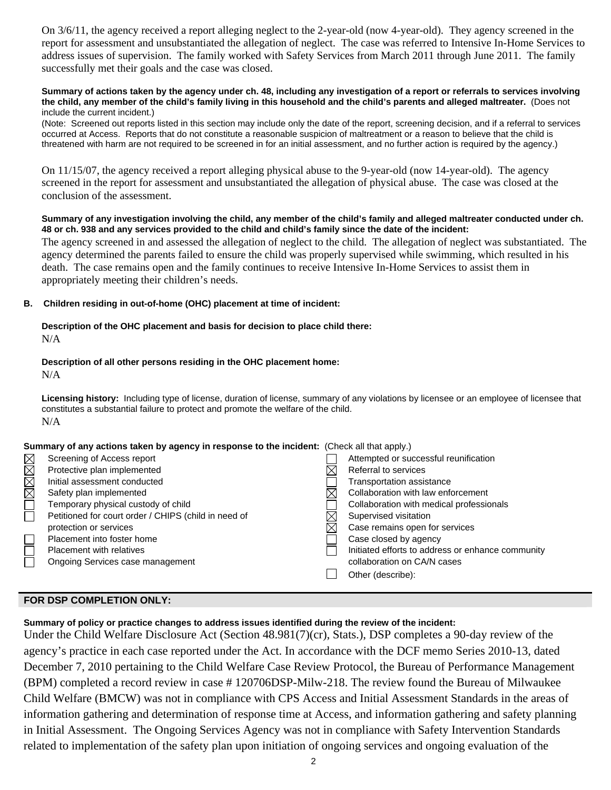On 3/6/11, the agency received a report alleging neglect to the 2-year-old (now 4-year-old). They agency screened in the report for assessment and unsubstantiated the allegation of neglect. The case was referred to Intensive In-Home Services to address issues of supervision. The family worked with Safety Services from March 2011 through June 2011. The family successfully met their goals and the case was closed.

#### **Summary of actions taken by the agency under ch. 48, including any investigation of a report or referrals to services involving the child, any member of the child's family living in this household and the child's parents and alleged maltreater.** (Does not include the current incident.)

(Note: Screened out reports listed in this section may include only the date of the report, screening decision, and if a referral to services occurred at Access. Reports that do not constitute a reasonable suspicion of maltreatment or a reason to believe that the child is threatened with harm are not required to be screened in for an initial assessment, and no further action is required by the agency.)

On 11/15/07, the agency received a report alleging physical abuse to the 9-year-old (now 14-year-old). The agency screened in the report for assessment and unsubstantiated the allegation of physical abuse. The case was closed at the conclusion of the assessment.

## **Summary of any investigation involving the child, any member of the child's family and alleged maltreater conducted under ch. 48 or ch. 938 and any services provided to the child and child's family since the date of the incident:**

The agency screened in and assessed the allegation of neglect to the child. The allegation of neglect was substantiated. The agency determined the parents failed to ensure the child was properly supervised while swimming, which resulted in his death. The case remains open and the family continues to receive Intensive In-Home Services to assist them in appropriately meeting their children's needs.

## **B. Children residing in out-of-home (OHC) placement at time of incident:**

# **Description of the OHC placement and basis for decision to place child there:**

N/A

# **Description of all other persons residing in the OHC placement home:**

N/A

**Licensing history:** Including type of license, duration of license, summary of any violations by licensee or an employee of licensee that constitutes a substantial failure to protect and promote the welfare of the child. N/A

# **Summary of any actions taken by agency in response to the incident:** (Check all that apply.)

| IMMM        | Screening of Access report                           | Attempted or successful reunification             |
|-------------|------------------------------------------------------|---------------------------------------------------|
|             | Protective plan implemented                          | Referral to services                              |
|             | Initial assessment conducted                         | Transportation assistance                         |
|             | Safety plan implemented                              | Collaboration with law enforcement                |
| $\boxtimes$ | Temporary physical custody of child                  | Collaboration with medical professionals          |
|             | Petitioned for court order / CHIPS (child in need of | Supervised visitation                             |
|             | protection or services                               | Case remains open for services                    |
|             | Placement into foster home                           | Case closed by agency                             |
|             | <b>Placement with relatives</b>                      | Initiated efforts to address or enhance community |
|             | Ongoing Services case management                     | collaboration on CA/N cases                       |
|             |                                                      | Other (describe):                                 |
|             |                                                      |                                                   |

# **FOR DSP COMPLETION ONLY:**

**Summary of policy or practice changes to address issues identified during the review of the incident:** 

Under the Child Welfare Disclosure Act (Section 48.981(7)(cr), Stats.), DSP completes a 90-day review of the agency's practice in each case reported under the Act. In accordance with the DCF memo Series 2010-13, dated December 7, 2010 pertaining to the Child Welfare Case Review Protocol, the Bureau of Performance Management (BPM) completed a record review in case # 120706DSP-Milw-218. The review found the Bureau of Milwaukee Child Welfare (BMCW) was not in compliance with CPS Access and Initial Assessment Standards in the areas of information gathering and determination of response time at Access, and information gathering and safety planning in Initial Assessment. The Ongoing Services Agency was not in compliance with Safety Intervention Standards related to implementation of the safety plan upon initiation of ongoing services and ongoing evaluation of the